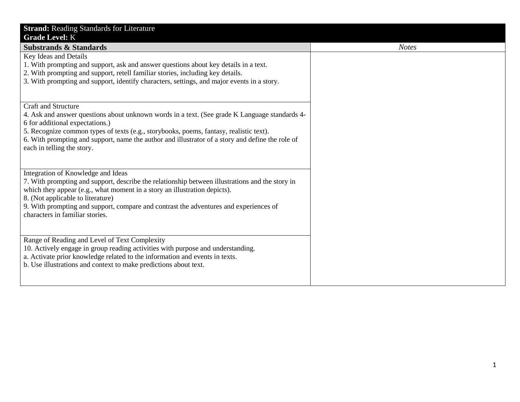| <b>Strand: Reading Standards for Literature</b>                                                                                                                                                                                                                                                                                                                                     |              |
|-------------------------------------------------------------------------------------------------------------------------------------------------------------------------------------------------------------------------------------------------------------------------------------------------------------------------------------------------------------------------------------|--------------|
| <b>Grade Level: K</b><br><b>Substrands &amp; Standards</b>                                                                                                                                                                                                                                                                                                                          | <b>Notes</b> |
| Key Ideas and Details<br>1. With prompting and support, ask and answer questions about key details in a text.<br>2. With prompting and support, retell familiar stories, including key details.<br>3. With prompting and support, identify characters, settings, and major events in a story.                                                                                       |              |
| Craft and Structure<br>4. Ask and answer questions about unknown words in a text. (See grade K Language standards 4-<br>6 for additional expectations.)<br>5. Recognize common types of texts (e.g., storybooks, poems, fantasy, realistic text).<br>6. With prompting and support, name the author and illustrator of a story and define the role of<br>each in telling the story. |              |
| Integration of Knowledge and Ideas<br>7. With prompting and support, describe the relationship between illustrations and the story in<br>which they appear (e.g., what moment in a story an illustration depicts).<br>8. (Not applicable to literature)<br>9. With prompting and support, compare and contrast the adventures and experiences of<br>characters in familiar stories. |              |
| Range of Reading and Level of Text Complexity<br>10. Actively engage in group reading activities with purpose and understanding.<br>a. Activate prior knowledge related to the information and events in texts.<br>b. Use illustrations and context to make predictions about text.                                                                                                 |              |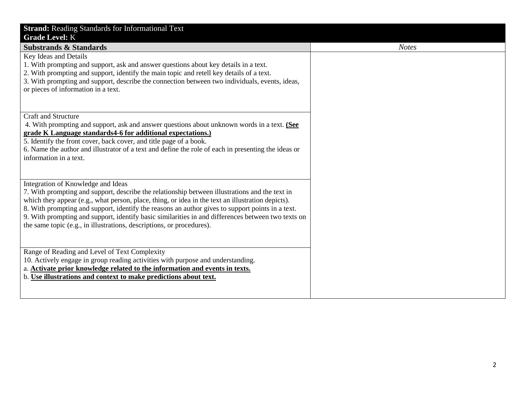| <b>Strand: Reading Standards for Informational Text</b>                                                                           |              |
|-----------------------------------------------------------------------------------------------------------------------------------|--------------|
| <b>Grade Level: K</b>                                                                                                             |              |
| <b>Substrands &amp; Standards</b>                                                                                                 | <b>Notes</b> |
| Key Ideas and Details                                                                                                             |              |
| 1. With prompting and support, ask and answer questions about key details in a text.                                              |              |
| 2. With prompting and support, identify the main topic and retell key details of a text.                                          |              |
| 3. With prompting and support, describe the connection between two individuals, events, ideas,                                    |              |
| or pieces of information in a text.                                                                                               |              |
|                                                                                                                                   |              |
|                                                                                                                                   |              |
| <b>Craft and Structure</b>                                                                                                        |              |
| 4. With prompting and support, ask and answer questions about unknown words in a text. (See                                       |              |
| grade K Language standards4-6 for additional expectations.)<br>5. Identify the front cover, back cover, and title page of a book. |              |
| 6. Name the author and illustrator of a text and define the role of each in presenting the ideas or                               |              |
| information in a text.                                                                                                            |              |
|                                                                                                                                   |              |
|                                                                                                                                   |              |
| Integration of Knowledge and Ideas                                                                                                |              |
| 7. With prompting and support, describe the relationship between illustrations and the text in                                    |              |
| which they appear (e.g., what person, place, thing, or idea in the text an illustration depicts).                                 |              |
| 8. With prompting and support, identify the reasons an author gives to support points in a text.                                  |              |
| 9. With prompting and support, identify basic similarities in and differences between two texts on                                |              |
| the same topic (e.g., in illustrations, descriptions, or procedures).                                                             |              |
|                                                                                                                                   |              |
|                                                                                                                                   |              |
| Range of Reading and Level of Text Complexity                                                                                     |              |
| 10. Actively engage in group reading activities with purpose and understanding.                                                   |              |
| a. Activate prior knowledge related to the information and events in texts.                                                       |              |
| b. Use illustrations and context to make predictions about text.                                                                  |              |
|                                                                                                                                   |              |
|                                                                                                                                   |              |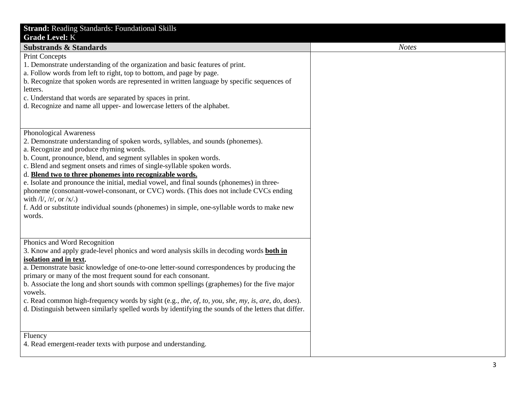| <b>Strand: Reading Standards: Foundational Skills</b>                                                                                                                                                                                                                                                                                                                                                                                                                                                                                                                                                                                                                                              |
|----------------------------------------------------------------------------------------------------------------------------------------------------------------------------------------------------------------------------------------------------------------------------------------------------------------------------------------------------------------------------------------------------------------------------------------------------------------------------------------------------------------------------------------------------------------------------------------------------------------------------------------------------------------------------------------------------|
| <b>Grade Level: K</b>                                                                                                                                                                                                                                                                                                                                                                                                                                                                                                                                                                                                                                                                              |
| <b>Substrands &amp; Standards</b>                                                                                                                                                                                                                                                                                                                                                                                                                                                                                                                                                                                                                                                                  |
| <b>Print Concepts</b><br>1. Demonstrate understanding of the organization and basic features of print.<br>a. Follow words from left to right, top to bottom, and page by page.                                                                                                                                                                                                                                                                                                                                                                                                                                                                                                                     |
| b. Recognize that spoken words are represented in written language by specific sequences of<br>letters.                                                                                                                                                                                                                                                                                                                                                                                                                                                                                                                                                                                            |
| c. Understand that words are separated by spaces in print.<br>d. Recognize and name all upper- and lowercase letters of the alphabet.                                                                                                                                                                                                                                                                                                                                                                                                                                                                                                                                                              |
| Phonological Awareness<br>2. Demonstrate understanding of spoken words, syllables, and sounds (phonemes).<br>a. Recognize and produce rhyming words.<br>b. Count, pronounce, blend, and segment syllables in spoken words.<br>c. Blend and segment onsets and rimes of single-syllable spoken words.<br>d. Blend two to three phonemes into recognizable words.<br>e. Isolate and pronounce the initial, medial vowel, and final sounds (phonemes) in three-<br>phoneme (consonant-vowel-consonant, or CVC) words. (This does not include CVCs ending<br>with $/l/$ , $/r/$ , or $/x/$ .)<br>f. Add or substitute individual sounds (phonemes) in simple, one-syllable words to make new<br>words. |
| Phonics and Word Recognition<br>3. Know and apply grade-level phonics and word analysis skills in decoding words both in<br>isolation and in text.<br>a. Demonstrate basic knowledge of one-to-one letter-sound correspondences by producing the<br>primary or many of the most frequent sound for each consonant.<br>b. Associate the long and short sounds with common spellings (graphemes) for the five major<br>vowels.<br>c. Read common high-frequency words by sight (e.g., the, of, to, you, she, my, is, are, do, does).<br>d. Distinguish between similarly spelled words by identifying the sounds of the letters that differ.                                                         |
| Fluency<br>4. Read emergent-reader texts with purpose and understanding.                                                                                                                                                                                                                                                                                                                                                                                                                                                                                                                                                                                                                           |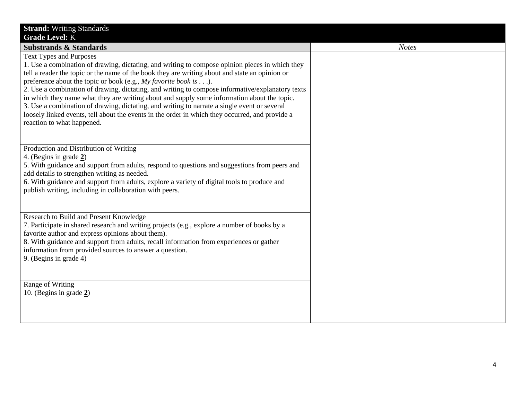| <b>Strand: Writing Standards</b>                                                                 |              |
|--------------------------------------------------------------------------------------------------|--------------|
| <b>Grade Level: K</b>                                                                            |              |
| <b>Substrands &amp; Standards</b>                                                                | <b>Notes</b> |
| <b>Text Types and Purposes</b>                                                                   |              |
| 1. Use a combination of drawing, dictating, and writing to compose opinion pieces in which they  |              |
| tell a reader the topic or the name of the book they are writing about and state an opinion or   |              |
| preference about the topic or book (e.g., My favorite book is ).                                 |              |
| 2. Use a combination of drawing, dictating, and writing to compose informative/explanatory texts |              |
| in which they name what they are writing about and supply some information about the topic.      |              |
| 3. Use a combination of drawing, dictating, and writing to narrate a single event or several     |              |
| loosely linked events, tell about the events in the order in which they occurred, and provide a  |              |
| reaction to what happened.                                                                       |              |
|                                                                                                  |              |
| Production and Distribution of Writing                                                           |              |
| 4. (Begins in grade 2)                                                                           |              |
| 5. With guidance and support from adults, respond to questions and suggestions from peers and    |              |
| add details to strengthen writing as needed.                                                     |              |
| 6. With guidance and support from adults, explore a variety of digital tools to produce and      |              |
| publish writing, including in collaboration with peers.                                          |              |
|                                                                                                  |              |
|                                                                                                  |              |
| Research to Build and Present Knowledge                                                          |              |
| 7. Participate in shared research and writing projects (e.g., explore a number of books by a     |              |
| favorite author and express opinions about them).                                                |              |
| 8. With guidance and support from adults, recall information from experiences or gather          |              |
| information from provided sources to answer a question.                                          |              |
| 9. (Begins in grade 4)                                                                           |              |
|                                                                                                  |              |
|                                                                                                  |              |
| Range of Writing                                                                                 |              |
| 10. (Begins in grade $2$ )                                                                       |              |
|                                                                                                  |              |
|                                                                                                  |              |
|                                                                                                  |              |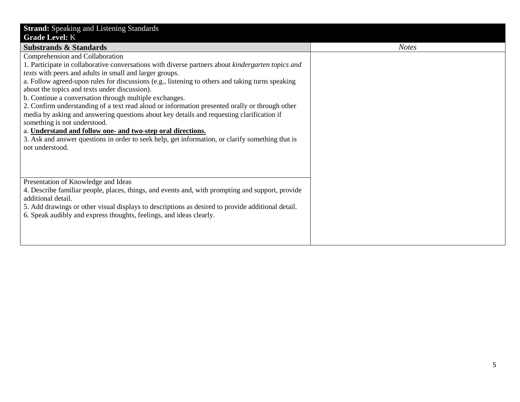| <b>Strand:</b> Speaking and Listening Standards                                                                           |              |
|---------------------------------------------------------------------------------------------------------------------------|--------------|
| <b>Grade Level: K</b>                                                                                                     |              |
| <b>Substrands &amp; Standards</b>                                                                                         | <b>Notes</b> |
| Comprehension and Collaboration                                                                                           |              |
| 1. Participate in collaborative conversations with diverse partners about kindergarten topics and                         |              |
| texts with peers and adults in small and larger groups.                                                                   |              |
| a. Follow agreed-upon rules for discussions (e.g., listening to others and taking turns speaking                          |              |
| about the topics and texts under discussion).                                                                             |              |
| b. Continue a conversation through multiple exchanges.                                                                    |              |
| 2. Confirm understanding of a text read aloud or information presented orally or through other                            |              |
| media by asking and answering questions about key details and requesting clarification if<br>something is not understood. |              |
| a. Understand and follow one- and two-step oral directions.                                                               |              |
| 3. Ask and answer questions in order to seek help, get information, or clarify something that is                          |              |
| not understood.                                                                                                           |              |
|                                                                                                                           |              |
|                                                                                                                           |              |
|                                                                                                                           |              |
| Presentation of Knowledge and Ideas                                                                                       |              |
| 4. Describe familiar people, places, things, and events and, with prompting and support, provide                          |              |
| additional detail.                                                                                                        |              |
| 5. Add drawings or other visual displays to descriptions as desired to provide additional detail.                         |              |
| 6. Speak audibly and express thoughts, feelings, and ideas clearly.                                                       |              |
|                                                                                                                           |              |
|                                                                                                                           |              |
|                                                                                                                           |              |